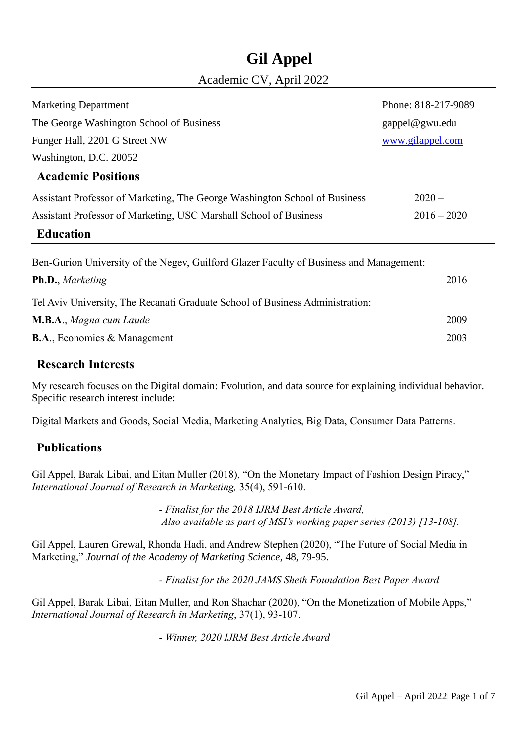## **Gil Appel**

## Academic CV, April 2022

| <b>Marketing Department</b>                                                             | Phone: 818-217-9089 |  |  |  |
|-----------------------------------------------------------------------------------------|---------------------|--|--|--|
| The George Washington School of Business                                                | gappel@gwu.edu      |  |  |  |
| Funger Hall, 2201 G Street NW                                                           | www.gilappel.com    |  |  |  |
| Washington, D.C. 20052                                                                  |                     |  |  |  |
| <b>Academic Positions</b>                                                               |                     |  |  |  |
| Assistant Professor of Marketing, The George Washington School of Business              | $2020 -$            |  |  |  |
| Assistant Professor of Marketing, USC Marshall School of Business                       | $2016 - 2020$       |  |  |  |
| <b>Education</b>                                                                        |                     |  |  |  |
| Ben-Gurion University of the Negev, Guilford Glazer Faculty of Business and Management: |                     |  |  |  |
| Ph.D., Marketing                                                                        | 2016                |  |  |  |
| Tel Aviv University, The Recanati Graduate School of Business Administration:           |                     |  |  |  |
| M.B.A., Magna cum Laude                                                                 | 2009                |  |  |  |
| <b>B.A., Economics &amp; Management</b>                                                 | 2003                |  |  |  |
| $\blacksquare$                                                                          |                     |  |  |  |

## **Research Interests**

My research focuses on the Digital domain: Evolution, and data source for explaining individual behavior. Specific research interest include:

Digital Markets and Goods, Social Media, Marketing Analytics, Big Data, Consumer Data Patterns.

## **Publications**

Gil Appel, Barak Libai, and Eitan Muller (2018), "On the Monetary Impact of Fashion Design Piracy," *International Journal of Research in Marketing,* 35(4), 591-610.

> *- Finalist for the 2018 IJRM Best Article Award, Also available as part of MSI's working paper series (2013) [13-108].*

Gil Appel, Lauren Grewal, Rhonda Hadi, and Andrew Stephen (2020), "The Future of Social Media in Marketing," *Journal of the Academy of Marketing Science*, 48, 79-95.

*- Finalist for the 2020 JAMS Sheth Foundation Best Paper Award*

Gil Appel, Barak Libai, Eitan Muller, and Ron Shachar (2020), "On the Monetization of Mobile Apps," *International Journal of Research in Marketing*, 37(1), 93-107.

*- Winner, 2020 IJRM Best Article Award*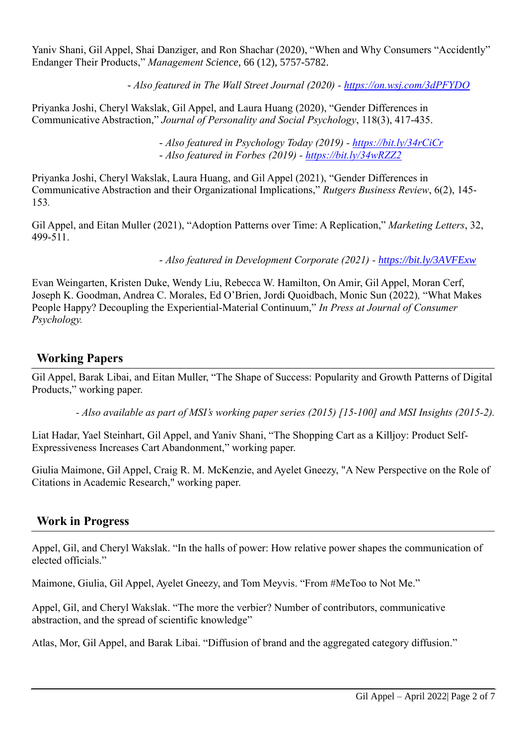Yaniv Shani, Gil Appel, Shai Danziger, and Ron Shachar (2020), "When and Why Consumers "Accidently" Endanger Their Products," *Management Science*, 66 (12), 5757-5782.

- *Also featured in The Wall Street Journal (2020) - <https://on.wsj.com/3dPFYDO>*

Priyanka Joshi, Cheryl Wakslak, Gil Appel, and Laura Huang (2020), "Gender Differences in Communicative Abstraction," *Journal of Personality and Social Psychology*, 118(3), 417-435.

> - *Also featured in Psychology Today (2019) - <https://bit.ly/34rCiCr>* - *Also featured in Forbes (2019) - <https://bit.ly/34wRZZ2>*

Priyanka Joshi, Cheryl Wakslak, Laura Huang, and Gil Appel (2021), "Gender Differences in Communicative Abstraction and their Organizational Implications," *Rutgers Business Review*, 6(2), 145- 153*.*

Gil Appel, and Eitan Muller (2021), "Adoption Patterns over Time: A Replication," *Marketing Letters*, 32, 499-511.

- *Also featured in Development Corporate (2021) - <https://bit.ly/3AVFExw>*

Evan Weingarten, Kristen Duke, Wendy Liu, Rebecca W. Hamilton, On Amir, Gil Appel, Moran Cerf, Joseph K. Goodman, Andrea C. Morales, Ed O'Brien, Jordi Quoidbach, Monic Sun (2022)*,* "What Makes People Happy? Decoupling the Experiential-Material Continuum," *In Press at Journal of Consumer Psychology.*

## **Working Papers**

Gil Appel, Barak Libai, and Eitan Muller, "The Shape of Success: Popularity and Growth Patterns of Digital Products," working paper.

*- Also available as part of MSI's working paper series (2015) [15-100] and MSI Insights (2015-2).*

Liat Hadar, Yael Steinhart, Gil Appel, and Yaniv Shani, "The Shopping Cart as a Killjoy: Product Self-Expressiveness Increases Cart Abandonment," working paper.

Giulia Maimone, Gil Appel, Craig R. M. McKenzie, and Ayelet Gneezy, "A New Perspective on the Role of Citations in Academic Research," working paper.

## **Work in Progress**

Appel, Gil, and Cheryl Wakslak. "In the halls of power: How relative power shapes the communication of elected officials."

Maimone, Giulia, Gil Appel, Ayelet Gneezy, and Tom Meyvis. "From #MeToo to Not Me."

Appel, Gil, and Cheryl Wakslak. "The more the verbier? Number of contributors, communicative abstraction, and the spread of scientific knowledge"

Atlas, Mor, Gil Appel, and Barak Libai. "Diffusion of brand and the aggregated category diffusion."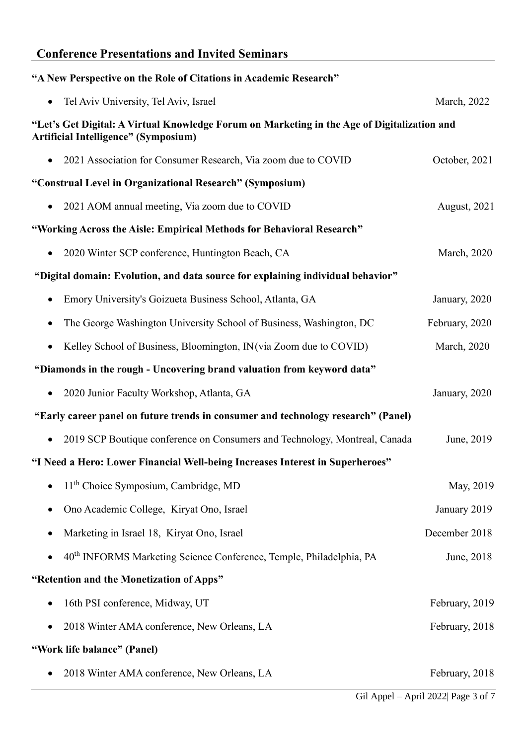## **Conference Presentations and Invited Seminars**

| "A New Perspective on the Role of Citations in Academic Research"                                                                   |                     |
|-------------------------------------------------------------------------------------------------------------------------------------|---------------------|
| Tel Aviv University, Tel Aviv, Israel                                                                                               | March, 2022         |
| "Let's Get Digital: A Virtual Knowledge Forum on Marketing in the Age of Digitalization and<br>Artificial Intelligence" (Symposium) |                     |
| 2021 Association for Consumer Research, Via zoom due to COVID                                                                       | October, 2021       |
| "Construal Level in Organizational Research" (Symposium)                                                                            |                     |
| 2021 AOM annual meeting, Via zoom due to COVID                                                                                      | August, 2021        |
| "Working Across the Aisle: Empirical Methods for Behavioral Research"                                                               |                     |
| 2020 Winter SCP conference, Huntington Beach, CA                                                                                    | <b>March</b> , 2020 |
| "Digital domain: Evolution, and data source for explaining individual behavior"                                                     |                     |
| Emory University's Goizueta Business School, Atlanta, GA<br>$\bullet$                                                               | January, 2020       |
| The George Washington University School of Business, Washington, DC                                                                 | February, 2020      |
| Kelley School of Business, Bloomington, IN (via Zoom due to COVID)                                                                  | <b>March</b> , 2020 |
| "Diamonds in the rough - Uncovering brand valuation from keyword data"                                                              |                     |
| 2020 Junior Faculty Workshop, Atlanta, GA<br>$\bullet$                                                                              | January, 2020       |
| "Early career panel on future trends in consumer and technology research" (Panel)                                                   |                     |
| 2019 SCP Boutique conference on Consumers and Technology, Montreal, Canada<br>$\bullet$                                             | June, 2019          |
| "I Need a Hero: Lower Financial Well-being Increases Interest in Superheroes"                                                       |                     |
| 11 <sup>th</sup> Choice Symposium, Cambridge, MD                                                                                    | May, 2019           |
| Ono Academic College, Kiryat Ono, Israel                                                                                            | January 2019        |
| Marketing in Israel 18, Kiryat Ono, Israel<br>$\bullet$                                                                             | December 2018       |
| 40 <sup>th</sup> INFORMS Marketing Science Conference, Temple, Philadelphia, PA                                                     | June, 2018          |
| "Retention and the Monetization of Apps"                                                                                            |                     |
| 16th PSI conference, Midway, UT                                                                                                     | February, 2019      |
| 2018 Winter AMA conference, New Orleans, LA                                                                                         | February, 2018      |
| "Work life balance" (Panel)                                                                                                         |                     |
| 2018 Winter AMA conference, New Orleans, LA                                                                                         | February, 2018      |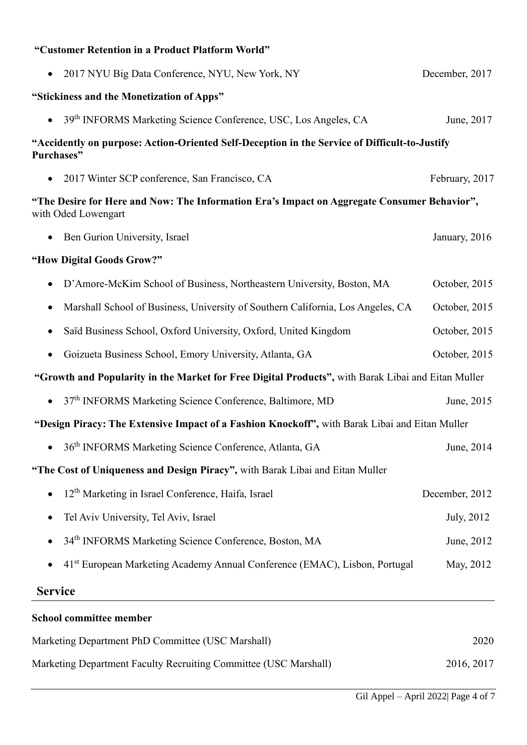| "Customer Retention in a Product Platform World"                                                                   |                |  |
|--------------------------------------------------------------------------------------------------------------------|----------------|--|
| 2017 NYU Big Data Conference, NYU, New York, NY                                                                    | December, 2017 |  |
| "Stickiness and the Monetization of Apps"                                                                          |                |  |
| 39 <sup>th</sup> INFORMS Marketing Science Conference, USC, Los Angeles, CA                                        | June, 2017     |  |
| "Accidently on purpose: Action-Oriented Self-Deception in the Service of Difficult-to-Justify<br>Purchases"        |                |  |
| 2017 Winter SCP conference, San Francisco, CA                                                                      | February, 2017 |  |
| "The Desire for Here and Now: The Information Era's Impact on Aggregate Consumer Behavior",<br>with Oded Lowengart |                |  |
| Ben Gurion University, Israel                                                                                      | January, 2016  |  |
| "How Digital Goods Grow?"                                                                                          |                |  |
| D'Amore-McKim School of Business, Northeastern University, Boston, MA                                              | October, 2015  |  |
| Marshall School of Business, University of Southern California, Los Angeles, CA<br>$\bullet$                       | October, 2015  |  |
| Saïd Business School, Oxford University, Oxford, United Kingdom                                                    | October, 2015  |  |
| Goizueta Business School, Emory University, Atlanta, GA<br>$\bullet$                                               | October, 2015  |  |
| "Growth and Popularity in the Market for Free Digital Products", with Barak Libai and Eitan Muller                 |                |  |
| • 37th INFORMS Marketing Science Conference, Baltimore, MD                                                         | June, 2015     |  |
| "Design Piracy: The Extensive Impact of a Fashion Knockoff", with Barak Libai and Eitan Muller                     |                |  |
| 36 <sup>th</sup> INFORMS Marketing Science Conference, Atlanta, GA                                                 | June, 2014     |  |
| "The Cost of Uniqueness and Design Piracy", with Barak Libai and Eitan Muller                                      |                |  |
| 12 <sup>th</sup> Marketing in Israel Conference, Haifa, Israel                                                     | December, 2012 |  |
| Tel Aviv University, Tel Aviv, Israel                                                                              | July, 2012     |  |
| 34th INFORMS Marketing Science Conference, Boston, MA                                                              | June, 2012     |  |
| 41 <sup>st</sup> European Marketing Academy Annual Conference (EMAC), Lisbon, Portugal                             | May, 2012      |  |
| <b>Service</b>                                                                                                     |                |  |
|                                                                                                                    |                |  |

# Marketing Department PhD Committee (USC Marshall) 2020 Marketing Department Faculty Recruiting Committee (USC Marshall) 2016, 2017

**School committee member**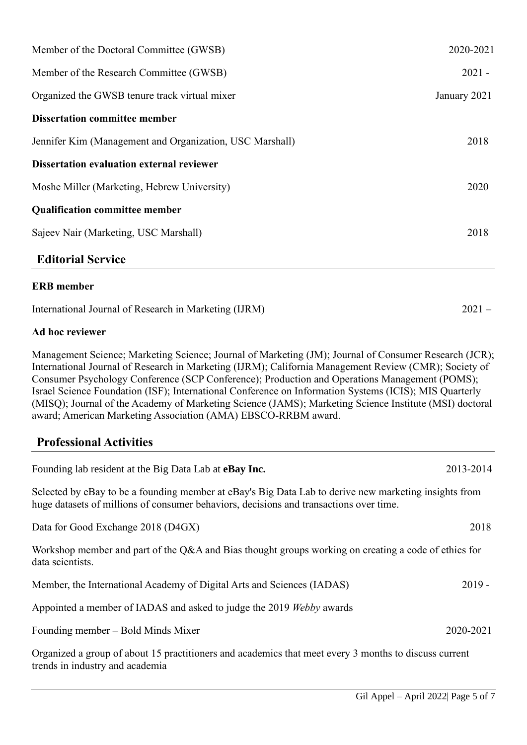| Member of the Doctoral Committee (GWSB)                  | 2020-2021    |
|----------------------------------------------------------|--------------|
| Member of the Research Committee (GWSB)                  | $2021 -$     |
| Organized the GWSB tenure track virtual mixer            | January 2021 |
| <b>Dissertation committee member</b>                     |              |
| Jennifer Kim (Management and Organization, USC Marshall) | 2018         |
| <b>Dissertation evaluation external reviewer</b>         |              |
| Moshe Miller (Marketing, Hebrew University)              | 2020         |
| <b>Qualification committee member</b>                    |              |
| Sajeev Nair (Marketing, USC Marshall)                    | 2018         |
| <b>Editorial Service</b>                                 |              |

#### **ERB member**

| International Journal of Research in Marketing (IJRM) | $2021 -$ |
|-------------------------------------------------------|----------|
|-------------------------------------------------------|----------|

#### **Ad hoc reviewer**

Management Science; Marketing Science; Journal of Marketing (JM); Journal of Consumer Research (JCR); International Journal of Research in Marketing (IJRM); California Management Review (CMR); Society of Consumer Psychology Conference (SCP Conference); Production and Operations Management (POMS); Israel Science Foundation (ISF); International Conference on Information Systems (ICIS); MIS Quarterly (MISQ); Journal of the Academy of Marketing Science (JAMS); Marketing Science Institute (MSI) doctoral award; American Marketing Association (AMA) EBSCO-RRBM award.

## **Professional Activities**

| Founding lab resident at the Big Data Lab at <b>eBay Inc.</b>                                                                                                                                   | 2013-2014 |
|-------------------------------------------------------------------------------------------------------------------------------------------------------------------------------------------------|-----------|
| Selected by eBay to be a founding member at eBay's Big Data Lab to derive new marketing insights from<br>huge datasets of millions of consumer behaviors, decisions and transactions over time. |           |
| Data for Good Exchange 2018 (D4GX)                                                                                                                                                              | 2018      |
| Workshop member and part of the Q&A and Bias thought groups working on creating a code of ethics for<br>data scientists.                                                                        |           |
| Member, the International Academy of Digital Arts and Sciences (IADAS)                                                                                                                          | $2019 -$  |
| Appointed a member of IADAS and asked to judge the 2019 Webby awards                                                                                                                            |           |
| Founding member – Bold Minds Mixer                                                                                                                                                              | 2020-2021 |
| Organized a group of about 15 practitioners and academics that meet every 3 months to discuss current<br>trends in industry and academia                                                        |           |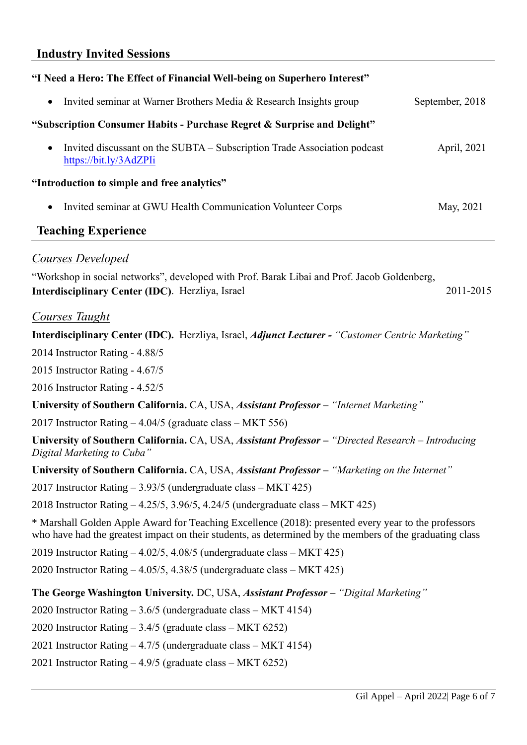#### **Industry Invited Sessions**

| "I Need a Hero: The Effect of Financial Well-being on Superhero Interest"                                       |                 |
|-----------------------------------------------------------------------------------------------------------------|-----------------|
| Invited seminar at Warner Brothers Media & Research Insights group<br>$\bullet$                                 | September, 2018 |
| "Subscription Consumer Habits - Purchase Regret & Surprise and Delight"                                         |                 |
| Invited discussant on the SUBTA – Subscription Trade Association podcast<br>$\bullet$<br>https://bit.ly/3AdZPIi | April, 2021     |
| "Introduction to simple and free analytics"                                                                     |                 |
| Invited seminar at GWU Health Communication Volunteer Corps<br>$\bullet$                                        | May, 2021       |
| <b>Teaching Experience</b>                                                                                      |                 |
| Courses Developed                                                                                               |                 |
| "Workshop in social networks", developed with Prof. Barak Libai and Prof. Jacob Goldenberg,                     |                 |
| <b>Interdisciplinary Center (IDC).</b> Herzliya, Israel                                                         | 2011-2015       |

#### *Courses Taught*

**Interdisciplinary Center (IDC).** Herzliya, Israel, *Adjunct Lecturer - "Customer Centric Marketing"* 

2014 Instructor Rating - 4.88/5

2015 Instructor Rating - 4.67/5

2016 Instructor Rating - 4.52/5

**University of Southern California.** CA, USA, *Assistant Professor – "Internet Marketing"*

2017 Instructor Rating – 4.04/5 (graduate class – MKT 556)

**University of Southern California.** CA, USA, *Assistant Professor – "Directed Research – Introducing Digital Marketing to Cuba"*

#### **University of Southern California.** CA, USA, *Assistant Professor – "Marketing on the Internet"*

2017 Instructor Rating – 3.93/5 (undergraduate class – MKT 425)

2018 Instructor Rating – 4.25/5, 3.96/5, 4.24/5 (undergraduate class – MKT 425)

\* Marshall Golden Apple Award for Teaching Excellence (2018): presented every year to the professors who have had the greatest impact on their students, as determined by the members of the graduating class

2019 Instructor Rating – 4.02/5, 4.08/5 (undergraduate class – MKT 425)

2020 Instructor Rating – 4.05/5, 4.38/5 (undergraduate class – MKT 425)

#### **The George Washington University.** DC, USA, *Assistant Professor – "Digital Marketing"*

2020 Instructor Rating – 3.6/5 (undergraduate class – MKT 4154)

2020 Instructor Rating – 3.4/5 (graduate class – MKT 6252)

2021 Instructor Rating – 4.7/5 (undergraduate class – MKT 4154)

2021 Instructor Rating – 4.9/5 (graduate class – MKT 6252)